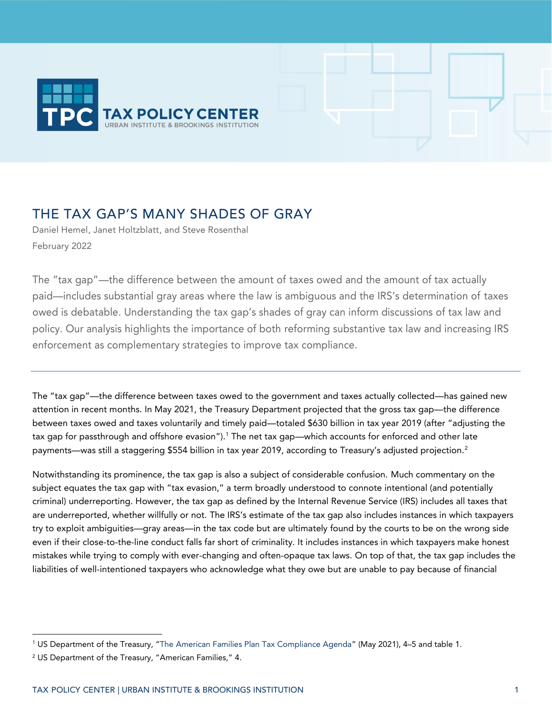

# THE TAX GAP'S MANY SHADES OF GRAY

Daniel Hemel, Janet Holtzblatt, and Steve Rosenthal February 2022

The "tax gap"—the difference between the amount of taxes owed and the amount of tax actually paid—includes substantial gray areas where the law is ambiguous and the IRS's determination of taxes owed is debatable. Understanding the tax gap's shades of gray can inform discussions of tax law and policy. Our analysis highlights the importance of both reforming substantive tax law and increasing IRS enforcement as complementary strategies to improve tax compliance.

The "tax gap"—the difference between taxes owed to the government and taxes actually collected—has gained new attention in recent months. In May 2021, the Treasury Department projected that the gross tax gap—the difference between taxes owed and taxes voluntarily and timely paid—totaled \$630 billion in tax year 2019 (after "adjusting the tax gap for passthrough and offshore evasion").<sup>1</sup> The net tax gap—which accounts for enforced and other late payments—was still a staggering \$554 billion in tax year 2019, according to Treasury's adjusted projection.<sup>2</sup>

Notwithstanding its prominence, the tax gap is also a subject of considerable confusion. Much commentary on the subject equates the tax gap with "tax evasion," a term broadly understood to connote intentional (and potentially criminal) underreporting. However, the tax gap as defined by the Internal Revenue Service (IRS) includes all taxes that are underreported, whether willfully or not. The IRS's estimate of the tax gap also includes instances in which taxpayers try to exploit ambiguities—gray areas—in the tax code but are ultimately found by the courts to be on the wrong side even if their close-to-the-line conduct falls far short of criminality. It includes instances in which taxpayers make honest mistakes while trying to comply with ever-changing and often-opaque tax laws. On top of that, the tax gap includes the liabilities of well-intentioned taxpayers who acknowledge what they owe but are unable to pay because of financial

<sup>1</sup> US Department of the Treasury, "[The American Families Plan Tax Compliance Agenda](https://home.treasury.gov/system/files/136/The-American-Families-Plan-Tax-Compliance-Agenda.pdf)" (May 2021), 4–5 and table 1.

<sup>2</sup> US Department of the Treasury, "American Families," 4.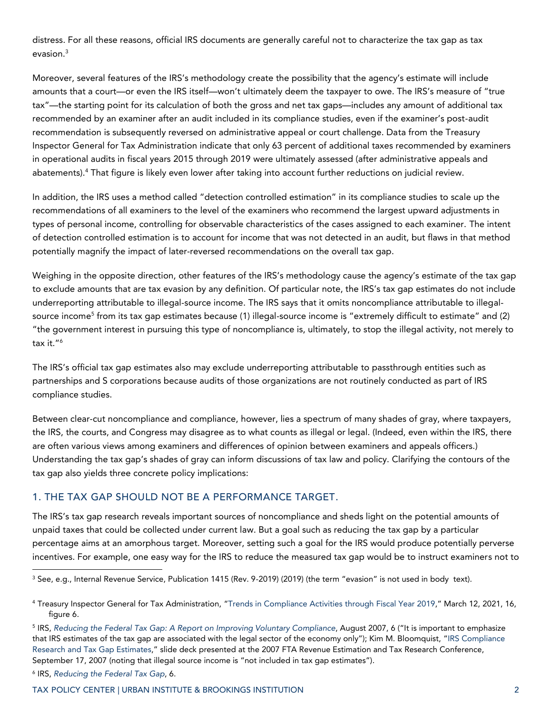distress. For all these reasons, official IRS documents are generally careful not to characterize the tax gap as tax evasion. 3

Moreover, several features of the IRS's methodology create the possibility that the agency's estimate will include amounts that a court—or even the IRS itself—won't ultimately deem the taxpayer to owe. The IRS's measure of "true tax"—the starting point for its calculation of both the gross and net tax gaps—includes any amount of additional tax recommended by an examiner after an audit included in its compliance studies, even if the examiner's post-audit recommendation is subsequently reversed on administrative appeal or court challenge. Data from the Treasury Inspector General for Tax Administration indicate that only 63 percent of additional taxes recommended by examiners in operational audits in fiscal years 2015 through 2019 were ultimately assessed (after administrative appeals and abatements). <sup>4</sup> That figure is likely even lower after taking into account further reductions on judicial review.

In addition, the IRS uses a method called "detection controlled estimation" in its compliance studies to scale up the recommendations of all examiners to the level of the examiners who recommend the largest upward adjustments in types of personal income, controlling for observable characteristics of the cases assigned to each examiner. The intent of detection controlled estimation is to account for income that was not detected in an audit, but flaws in that method potentially magnify the impact of later-reversed recommendations on the overall tax gap.

Weighing in the opposite direction, other features of the IRS's methodology cause the agency's estimate of the tax gap to exclude amounts that are tax evasion by any definition. Of particular note, the IRS's tax gap estimates do not include underreporting attributable to illegal-source income. The IRS says that it omits noncompliance attributable to illegalsource income<sup>5</sup> from its tax gap estimates because (1) illegal-source income is "extremely difficult to estimate" and (2) "the government interest in pursuing this type of noncompliance is, ultimately, to stop the illegal activity, not merely to tax it." 6

The IRS's official tax gap estimates also may exclude underreporting attributable to passthrough entities such as partnerships and S corporations because audits of those organizations are not routinely conducted as part of IRS compliance studies.

Between clear-cut noncompliance and compliance, however, lies a spectrum of many shades of gray, where taxpayers, the IRS, the courts, and Congress may disagree as to what counts as illegal or legal. (Indeed, even within the IRS, there are often various views among examiners and differences of opinion between examiners and appeals officers.) Understanding the tax gap's shades of gray can inform discussions of tax law and policy. Clarifying the contours of the tax gap also yields three concrete policy implications:

### 1. THE TAX GAP SHOULD NOT BE A PERFORMANCE TARGET.

The IRS's tax gap research reveals important sources of noncompliance and sheds light on the potential amounts of unpaid taxes that could be collected under current law. But a goal such as reducing the tax gap by a particular percentage aims at an amorphous target. Moreover, setting such a goal for the IRS would produce potentially perverse incentives. For example, one easy way for the IRS to reduce the measured tax gap would be to instruct examiners not to

<sup>&</sup>lt;sup>3</sup> See, e.g., Internal Revenue Service, Publication 1415 (Rev. 9-2019) (2019) (the term "evasion" is not used in body text).

<sup>4</sup> Treasury Inspector General for Tax Administration, "[Trends in Compliance Activities through Fiscal Year 2019,](https://www.treasury.gov/tigta/auditreports/2021reports/202130011fr.pdf)" March 12, 2021, 16, figure 6.

<sup>5</sup> IRS, *[Reducing the Federal Tax Gap: A Report on Improving Voluntary Compliance](https://www.irs.gov/pub/irs-news/reducing_the_tax_gap.pdf)*, August 2007, 6 ("It is important to emphasize that IRS estimates of the tax gap are associated with the legal sector of the economy only"); Kim M. Bloomquist, "[IRS Compliance](https://www.taxadmin.org/assets/docs/Meetings/07rev_est/bloomquist.pdf)  [Research and Tax Gap Estimates](https://www.taxadmin.org/assets/docs/Meetings/07rev_est/bloomquist.pdf)," slide deck presented at the 2007 FTA Revenue Estimation and Tax Research Conference, September 17, 2007 (noting that illegal source income is "not included in tax gap estimates").

<sup>6</sup> IRS, *[Reducing the Federal Tax Gap](https://www.irs.gov/pub/irs-news/reducing_the_tax_gap.pdf)*, 6.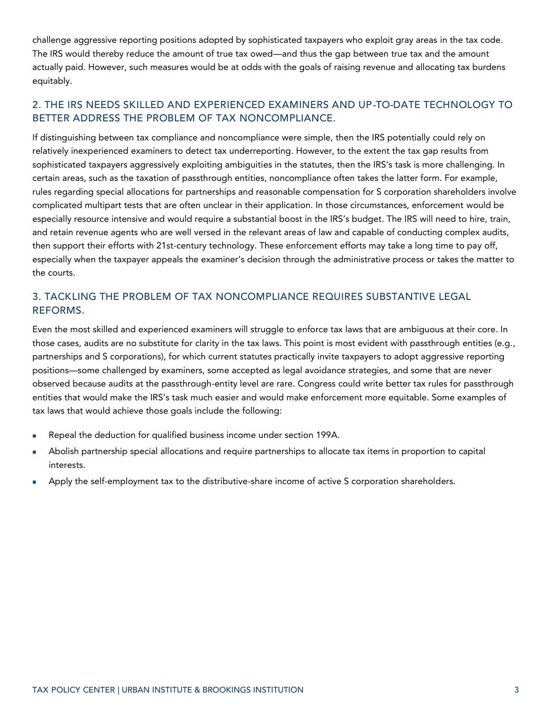challenge aggressive reporting positions adopted by sophisticated taxpayers who exploit gray areas in the tax code. The IRS would thereby reduce the amount of true tax owed—and thus the gap between true tax and the amount actually paid. However, such measures would be at odds with the goals of raising revenue and allocating tax burdens equitably.

## 2. THE IRS NEEDS SKILLED AND EXPERIENCED EXAMINERS AND UP-TO-DATE TECHNOLOGY TO BETTER ADDRESS THE PROBLEM OF TAX NONCOMPLIANCE.

If distinguishing between tax compliance and noncompliance were simple, then the IRS potentially could rely on relatively inexperienced examiners to detect tax underreporting. However, to the extent the tax gap results from sophisticated taxpayers aggressively exploiting ambiguities in the statutes, then the IRS's task is more challenging. In certain areas, such as the taxation of passthrough entities, noncompliance often takes the latter form. For example, rules regarding special allocations for partnerships and reasonable compensation for S corporation shareholders involve complicated multipart tests that are often unclear in their application. In those circumstances, enforcement would be especially resource intensive and would require a substantial boost in the IRS's budget. The IRS will need to hire, train, and retain revenue agents who are well versed in the relevant areas of law and capable of conducting complex audits, then support their efforts with 21st-century technology. These enforcement efforts may take a long time to pay off, especially when the taxpayer appeals the examiner's decision through the administrative process or takes the matter to the courts.

## 3. TACKLING THE PROBLEM OF TAX NONCOMPLIANCE REQUIRES SUBSTANTIVE LEGAL REFORMS.

Even the most skilled and experienced examiners will struggle to enforce tax laws that are ambiguous at their core. In those cases, audits are no substitute for clarity in the tax laws. This point is most evident with passthrough entities (e.g., partnerships and S corporations), for which current statutes practically invite taxpayers to adopt aggressive reporting positions—some challenged by examiners, some accepted as legal avoidance strategies, and some that are never observed because audits at the passthrough-entity level are rare. Congress could write better tax rules for passthrough entities that would make the IRS's task much easier and would make enforcement more equitable. Some examples of tax laws that would achieve those goals include the following:

- Repeal the deduction for qualified business income under section 199A.
- Abolish partnership special allocations and require partnerships to allocate tax items in proportion to capital interests.
- Apply the self-employment tax to the distributive-share income of active S corporation shareholders.